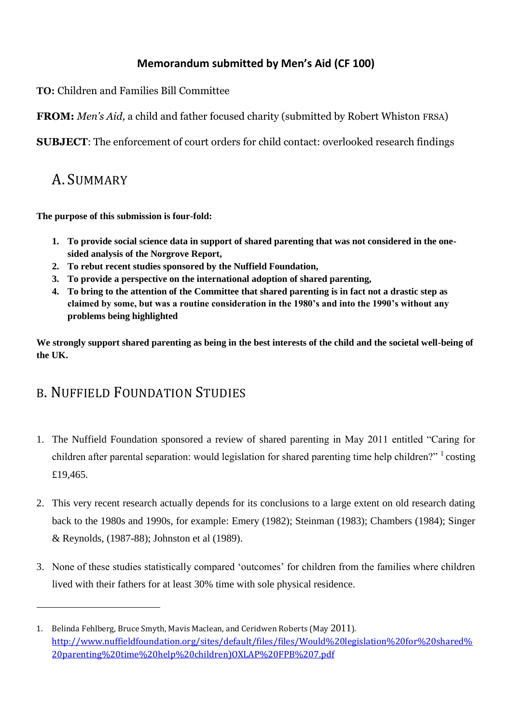#### **Memorandum submitted by Men's Aid (CF 100)**

**TO:** Children and Families Bill Committee

**FROM:** *Men's Aid,* a child and father focused charity (submitted by Robert Whiston FRSA)

**SUBJECT**: The enforcement of court orders for child contact: overlooked research findings

### A. SUMMARY

 $\overline{\phantom{0}}$ 

**The purpose of this submission is four-fold:**

- **1. To provide social science data in support of shared parenting that was not considered in the onesided analysis of the Norgrove Report,**
- **2. To rebut recent studies sponsored by the Nuffield Foundation,**
- **3. To provide a perspective on the international adoption of shared parenting,**
- **4. To bring to the attention of the Committee that shared parenting is in fact not a drastic step as claimed by some, but was a routine consideration in the 1980's and into the 1990's without any problems being highlighted**

**We strongly support shared parenting as being in the best interests of the child and the societal well-being of the UK.**

# B. NUFFIELD FOUNDATION STUDIES

- 1. The Nuffield Foundation sponsored a review of shared parenting in May 2011 entitled "Caring for children after parental separation: would legislation for shared parenting time help children?" <sup>1</sup> costing £19,465.
- 2. This very recent research actually depends for its conclusions to a large extent on old research dating back to the 1980s and 1990s, for example: Emery (1982); Steinman (1983); Chambers (1984); Singer & Reynolds, (1987-88); Johnston et al (1989).
- 3. None of these studies statistically compared "outcomes" for children from the families where children lived with their fathers for at least 30% time with sole physical residence.

<sup>1.</sup> Belinda Fehlberg, Bruce Smyth, Mavis Maclean, and Ceridwen Roberts (May 2011). [http://www.nuffieldfoundation.org/sites/default/files/files/Would%20legislation%20for%20shared%](http://www.nuffieldfoundation.org/sites/default/files/files/Would%20legislation%20for%20shared%20parenting%20time%20help%20children)OXLAP%20FPB%207.pdf) [20parenting%20time%20help%20children\)OXLAP%20FPB%207.pdf](http://www.nuffieldfoundation.org/sites/default/files/files/Would%20legislation%20for%20shared%20parenting%20time%20help%20children)OXLAP%20FPB%207.pdf)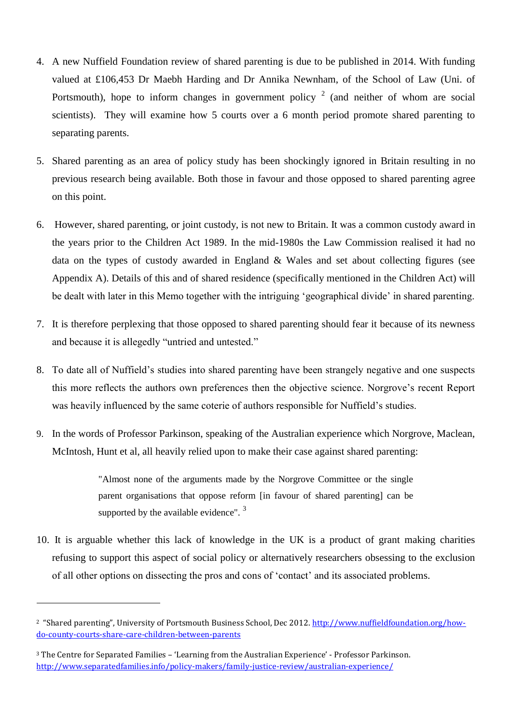- 4. A new Nuffield Foundation review of shared parenting is due to be published in 2014. With funding valued at £106,453 Dr Maebh Harding and Dr Annika Newnham, of the School of Law (Uni. of Portsmouth), hope to inform changes in government policy  $2$  (and neither of whom are social scientists). They will examine how 5 courts over a 6 month period promote shared parenting to separating parents.
- 5. Shared parenting as an area of policy study has been shockingly ignored in Britain resulting in no previous research being available. Both those in favour and those opposed to shared parenting agree on this point.
- 6. However, shared parenting, or joint custody, is not new to Britain. It was a common custody award in the years prior to the Children Act 1989. In the mid-1980s the Law Commission realised it had no data on the types of custody awarded in England & Wales and set about collecting figures (see Appendix A). Details of this and of shared residence (specifically mentioned in the Children Act) will be dealt with later in this Memo together with the intriguing "geographical divide" in shared parenting.
- 7. It is therefore perplexing that those opposed to shared parenting should fear it because of its newness and because it is allegedly "untried and untested."
- 8. To date all of Nuffield"s studies into shared parenting have been strangely negative and one suspects this more reflects the authors own preferences then the objective science. Norgrove"s recent Report was heavily influenced by the same coterie of authors responsible for Nuffield's studies.
- 9. In the words of Professor Parkinson, speaking of the Australian experience which Norgrove, Maclean, McIntosh, Hunt et al, all heavily relied upon to make their case against shared parenting:

"Almost none of the arguments made by the Norgrove Committee or the single parent organisations that oppose reform [in favour of shared parenting] can be supported by the available evidence".  $3$ 

10. It is arguable whether this lack of knowledge in the UK is a product of grant making charities refusing to support this aspect of social policy or alternatively researchers obsessing to the exclusion of all other options on dissecting the pros and cons of "contact" and its associated problems.

 $\overline{\phantom{0}}$ 

<sup>&</sup>lt;sup>2</sup> "Shared parenting", University of Portsmouth Business School, Dec 2012. [http://www.nuffieldfoundation.org/how](http://www.nuffieldfoundation.org/how-do-county-courts-share-care-children-between-parents)[do-county-courts-share-care-children-between-parents](http://www.nuffieldfoundation.org/how-do-county-courts-share-care-children-between-parents)

<sup>3</sup> The Centre for Separated Families – 'Learning from the Australian Experience' - Professor Parkinson. <http://www.separatedfamilies.info/policy-makers/family-justice-review/australian-experience/>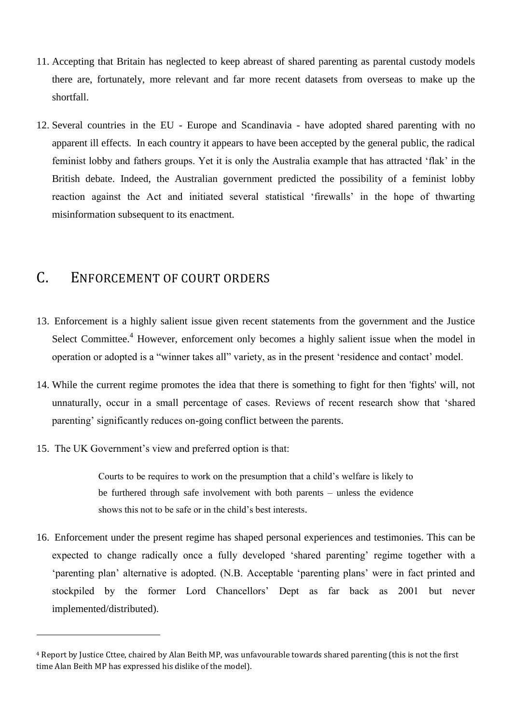- 11. Accepting that Britain has neglected to keep abreast of shared parenting as parental custody models there are, fortunately, more relevant and far more recent datasets from overseas to make up the shortfall.
- 12. Several countries in the EU Europe and Scandinavia have adopted shared parenting with no apparent ill effects. In each country it appears to have been accepted by the general public, the radical feminist lobby and fathers groups. Yet it is only the Australia example that has attracted "flak" in the British debate. Indeed, the Australian government predicted the possibility of a feminist lobby reaction against the Act and initiated several statistical "firewalls" in the hope of thwarting misinformation subsequent to its enactment.

### C. ENFORCEMENT OF COURT ORDERS

- 13. Enforcement is a highly salient issue given recent statements from the government and the Justice Select Committee.<sup>4</sup> However, enforcement only becomes a highly salient issue when the model in operation or adopted is a "winner takes all" variety, as in the present "residence and contact" model.
- 14. While the current regime promotes the idea that there is something to fight for then 'fights' will, not unnaturally, occur in a small percentage of cases. Reviews of recent research show that "shared parenting' significantly reduces on-going conflict between the parents.
- 15. The UK Government"s view and preferred option is that:

l

Courts to be requires to work on the presumption that a child"s welfare is likely to be furthered through safe involvement with both parents – unless the evidence shows this not to be safe or in the child"s best interests.

16. Enforcement under the present regime has shaped personal experiences and testimonies. This can be expected to change radically once a fully developed 'shared parenting' regime together with a "parenting plan" alternative is adopted. (N.B. Acceptable "parenting plans" were in fact printed and stockpiled by the former Lord Chancellors" Dept as far back as 2001 but never implemented/distributed).

<sup>4</sup> Report by Justice Cttee, chaired by Alan Beith MP, was unfavourable towards shared parenting (this is not the first time Alan Beith MP has expressed his dislike of the model).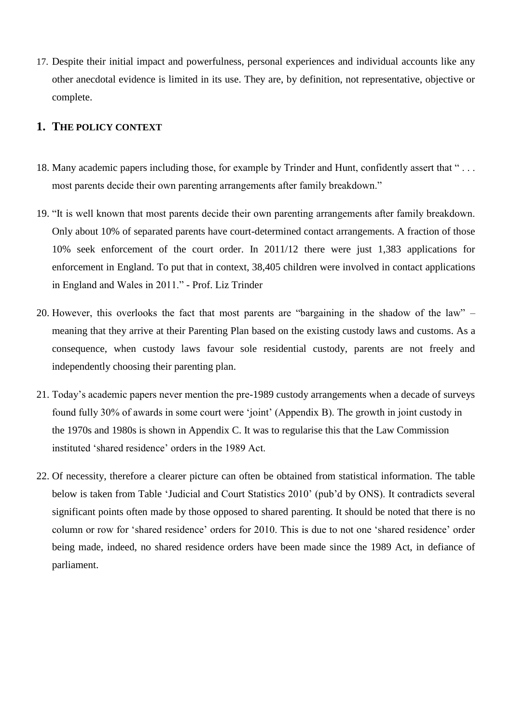17. Despite their initial impact and powerfulness, personal experiences and individual accounts like any other anecdotal evidence is limited in its use. They are, by definition, not representative, objective or complete.

#### **1. THE POLICY CONTEXT**

- 18. Many academic papers including those, for example by Trinder and Hunt, confidently assert that " . . . most parents decide their own parenting arrangements after family breakdown."
- 19. "It is well known that most parents decide their own parenting arrangements after family breakdown. Only about 10% of separated parents have court-determined contact arrangements. A fraction of those 10% seek enforcement of the court order. In 2011/12 there were just 1,383 applications for enforcement in England. To put that in context, 38,405 children were involved in contact applications in England and Wales in 2011." - Prof. Liz Trinder
- 20. However, this overlooks the fact that most parents are "bargaining in the shadow of the law" meaning that they arrive at their Parenting Plan based on the existing custody laws and customs. As a consequence, when custody laws favour sole residential custody, parents are not freely and independently choosing their parenting plan.
- 21. Today"s academic papers never mention the pre-1989 custody arrangements when a decade of surveys found fully 30% of awards in some court were "joint" (Appendix B). The growth in joint custody in the 1970s and 1980s is shown in Appendix C. It was to regularise this that the Law Commission instituted "shared residence" orders in the 1989 Act.
- 22. Of necessity, therefore a clearer picture can often be obtained from statistical information. The table below is taken from Table "Judicial and Court Statistics 2010" (pub"d by ONS). It contradicts several significant points often made by those opposed to shared parenting. It should be noted that there is no column or row for "shared residence" orders for 2010. This is due to not one "shared residence" order being made, indeed, no shared residence orders have been made since the 1989 Act, in defiance of parliament.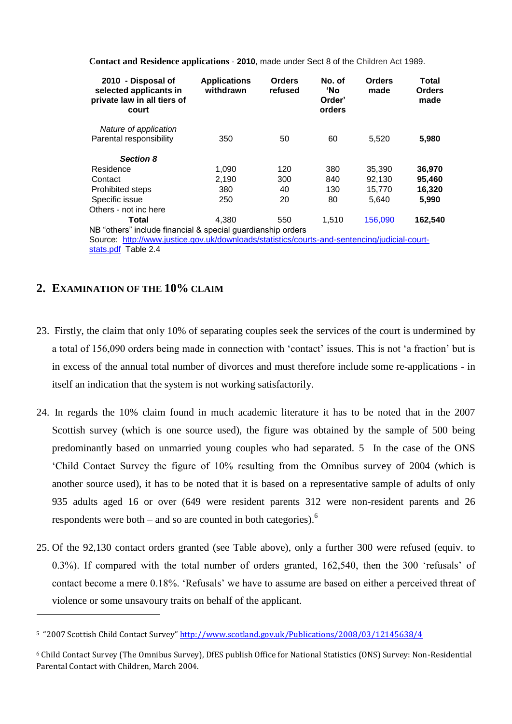| 2010 - Disposal of<br>selected applicants in<br>private law in all tiers of<br>court         | <b>Applications</b><br>withdrawn | <b>Orders</b><br>refused | No. of<br><b>'No</b><br>Order'<br>orders | <b>Orders</b><br>made | Total<br><b>Orders</b><br>made |
|----------------------------------------------------------------------------------------------|----------------------------------|--------------------------|------------------------------------------|-----------------------|--------------------------------|
| Nature of application                                                                        |                                  |                          |                                          |                       |                                |
| Parental responsibility                                                                      | 350                              | 50                       | 60                                       | 5,520                 | 5,980                          |
| <b>Section 8</b>                                                                             |                                  |                          |                                          |                       |                                |
| Residence                                                                                    | 1,090                            | 120                      | 380                                      | 35,390                | 36,970                         |
| Contact                                                                                      | 2,190                            | 300                      | 840                                      | 92,130                | 95,460                         |
| Prohibited steps                                                                             | 380                              | 40                       | 130                                      | 15,770                | 16,320                         |
| Specific issue                                                                               | 250                              | 20                       | 80                                       | 5,640                 | 5,990                          |
| Others - not inc here                                                                        |                                  |                          |                                          |                       |                                |
| Total                                                                                        | 4.380                            | 550                      | 1,510                                    | 156,090               | 162,540                        |
| NB "others" include financial & special guardianship orders                                  |                                  |                          |                                          |                       |                                |
| Source: http://www.justice.gov.uk/downloads/statistics/courts-and-sentencing/judicial-court- |                                  |                          |                                          |                       |                                |
| stats.pdf Table 2.4                                                                          |                                  |                          |                                          |                       |                                |

**Contact and Residence applications** - **2010**, made under Sect 8 of the Children Act 1989.

#### **2. EXAMINATION OF THE 10% CLAIM**

 $\overline{a}$ 

- 23. Firstly, the claim that only 10% of separating couples seek the services of the court is undermined by a total of 156,090 orders being made in connection with 'contact' issues. This is not 'a fraction' but is in excess of the annual total number of divorces and must therefore include some re-applications - in itself an indication that the system is not working satisfactorily.
- 24. In regards the 10% claim found in much academic literature it has to be noted that in the 2007 Scottish survey (which is one source used), the figure was obtained by the sample of 500 being predominantly based on unmarried young couples who had separated. 5 In the case of the ONS "Child Contact Survey the figure of 10% resulting from the Omnibus survey of 2004 (which is another source used), it has to be noted that it is based on a representative sample of adults of only 935 adults aged 16 or over (649 were resident parents 312 were non-resident parents and 26 respondents were both – and so are counted in both categories). $<sup>6</sup>$ </sup>
- 25. Of the 92,130 contact orders granted (see Table above), only a further 300 were refused (equiv. to 0.3%). If compared with the total number of orders granted, 162,540, then the 300 "refusals" of contact become a mere 0.18%. "Refusals" we have to assume are based on either a perceived threat of violence or some unsavoury traits on behalf of the applicant.

<sup>5</sup> "2007 Scottish Child Contact Survey" <http://www.scotland.gov.uk/Publications/2008/03/12145638/4>

<sup>6</sup> Child Contact Survey (The Omnibus Survey), DfES publish Office for National Statistics (ONS) Survey: Non-Residential Parental Contact with Children, March 2004.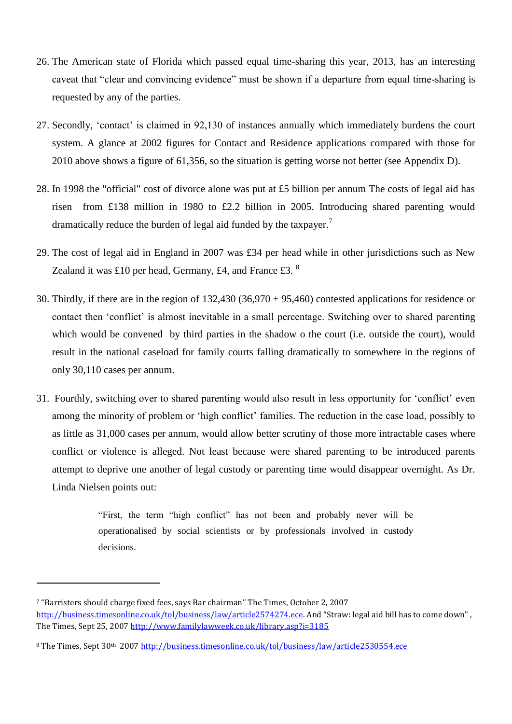- 26. The American state of Florida which passed equal time-sharing this year, 2013, has an interesting caveat that "clear and convincing evidence" must be shown if a departure from equal time-sharing is requested by any of the parties.
- 27. Secondly, "contact" is claimed in 92,130 of instances annually which immediately burdens the court system. A glance at 2002 figures for Contact and Residence applications compared with those for 2010 above shows a figure of 61,356, so the situation is getting worse not better (see Appendix D).
- 28. In 1998 the "official" cost of divorce alone was put at £5 billion per annum The costs of legal aid has risen from £138 million in 1980 to £2.2 billion in 2005. Introducing shared parenting would dramatically reduce the burden of legal aid funded by the taxpayer.<sup>7</sup>
- 29. The cost of legal aid in England in 2007 was £34 per head while in other jurisdictions such as New Zealand it was £10 per head, Germany, £4, and France £3.  $8$
- 30. Thirdly, if there are in the region of 132,430 (36,970 + 95,460) contested applications for residence or contact then "conflict" is almost inevitable in a small percentage. Switching over to shared parenting which would be convened by third parties in the shadow o the court (i.e. outside the court), would result in the national caseload for family courts falling dramatically to somewhere in the regions of only 30,110 cases per annum.
- 31. Fourthly, switching over to shared parenting would also result in less opportunity for "conflict" even among the minority of problem or 'high conflict' families. The reduction in the case load, possibly to as little as 31,000 cases per annum, would allow better scrutiny of those more intractable cases where conflict or violence is alleged. Not least because were shared parenting to be introduced parents attempt to deprive one another of legal custody or parenting time would disappear overnight. As Dr. Linda Nielsen points out:

"First, the term "high conflict" has not been and probably never will be operationalised by social scientists or by professionals involved in custody decisions.

 $\overline{\phantom{0}}$ 

<sup>7</sup> "Barristers should charge fixed fees, says Bar chairman" The Times, October 2, 2007 <http://business.timesonline.co.uk/tol/business/law/article2574274.ece>. And "Straw: legal aid bill has to come down", The Times, Sept 25, 2007<http://www.familylawweek.co.uk/library.asp?i=3185>

<sup>8</sup> The Times, Sept 30th 2007<http://business.timesonline.co.uk/tol/business/law/article2530554.ece>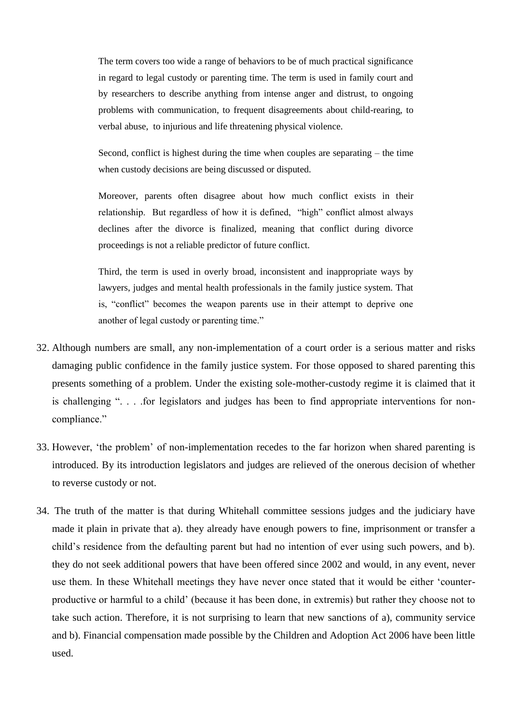The term covers too wide a range of behaviors to be of much practical significance in regard to legal custody or parenting time. The term is used in family court and by researchers to describe anything from intense anger and distrust, to ongoing problems with communication, to frequent disagreements about child-rearing, to verbal abuse, to injurious and life threatening physical violence.

Second, conflict is highest during the time when couples are separating – the time when custody decisions are being discussed or disputed.

Moreover, parents often disagree about how much conflict exists in their relationship. But regardless of how it is defined, "high" conflict almost always declines after the divorce is finalized, meaning that conflict during divorce proceedings is not a reliable predictor of future conflict.

Third, the term is used in overly broad, inconsistent and inappropriate ways by lawyers, judges and mental health professionals in the family justice system. That is, "conflict" becomes the weapon parents use in their attempt to deprive one another of legal custody or parenting time."

- 32. Although numbers are small, any non-implementation of a court order is a serious matter and risks damaging public confidence in the family justice system. For those opposed to shared parenting this presents something of a problem. Under the existing sole-mother-custody regime it is claimed that it is challenging ". . . .for legislators and judges has been to find appropriate interventions for noncompliance."
- 33. However, "the problem" of non-implementation recedes to the far horizon when shared parenting is introduced. By its introduction legislators and judges are relieved of the onerous decision of whether to reverse custody or not.
- 34. The truth of the matter is that during Whitehall committee sessions judges and the judiciary have made it plain in private that a). they already have enough powers to fine, imprisonment or transfer a child"s residence from the defaulting parent but had no intention of ever using such powers, and b). they do not seek additional powers that have been offered since 2002 and would, in any event, never use them. In these Whitehall meetings they have never once stated that it would be either "counterproductive or harmful to a child" (because it has been done, in extremis) but rather they choose not to take such action. Therefore, it is not surprising to learn that new sanctions of a), community service and b). Financial compensation made possible by the Children and Adoption Act 2006 have been little used.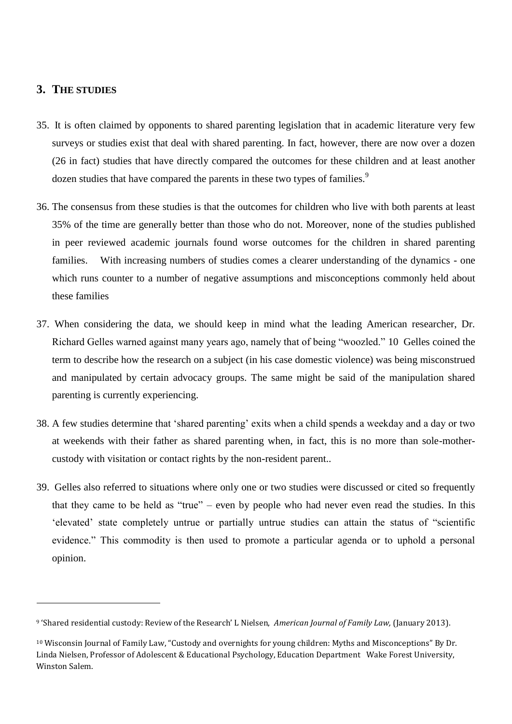#### **3. THE STUDIES**

 $\overline{\phantom{0}}$ 

- 35. It is often claimed by opponents to shared parenting legislation that in academic literature very few surveys or studies exist that deal with shared parenting. In fact, however, there are now over a dozen (26 in fact) studies that have directly compared the outcomes for these children and at least another dozen studies that have compared the parents in these two types of families.<sup>9</sup>
- 36. The consensus from these studies is that the outcomes for children who live with both parents at least 35% of the time are generally better than those who do not. Moreover, none of the studies published in peer reviewed academic journals found worse outcomes for the children in shared parenting families. With increasing numbers of studies comes a clearer understanding of the dynamics - one which runs counter to a number of negative assumptions and misconceptions commonly held about these families
- 37. When considering the data, we should keep in mind what the leading American researcher, Dr. Richard Gelles warned against many years ago, namely that of being "woozled." 10 Gelles coined the term to describe how the research on a subject (in his case domestic violence) was being misconstrued and manipulated by certain advocacy groups. The same might be said of the manipulation shared parenting is currently experiencing.
- 38. A few studies determine that "shared parenting" exits when a child spends a weekday and a day or two at weekends with their father as shared parenting when, in fact, this is no more than sole-mothercustody with visitation or contact rights by the non-resident parent..
- 39. Gelles also referred to situations where only one or two studies were discussed or cited so frequently that they came to be held as "true" – even by people who had never even read the studies. In this "elevated" state completely untrue or partially untrue studies can attain the status of "scientific evidence." This commodity is then used to promote a particular agenda or to uphold a personal opinion.

<sup>9</sup> 'Shared residential custody: Review of the Research' L Nielsen, *American Journal of Family Law,* (January 2013).

<sup>10</sup> Wisconsin Journal of Family Law, "Custody and overnights for young children: Myths and Misconceptions" By Dr. Linda Nielsen, Professor of Adolescent & Educational Psychology, Education Department Wake Forest University, Winston Salem.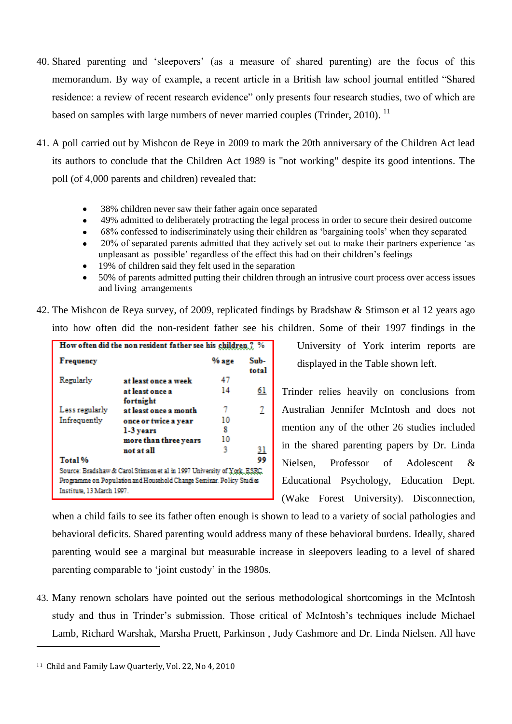- 40. Shared parenting and "sleepovers" (as a measure of shared parenting) are the focus of this memorandum. By way of example, a recent article in a British law school journal entitled "Shared residence: a review of recent research evidence" only presents four research studies, two of which are based on samples with large numbers of never married couples (Trinder, 2010).<sup>11</sup>
- 41. A poll carried out by Mishcon de Reye in 2009 to mark the 20th anniversary of the Children Act lead its authors to conclude that the Children Act 1989 is "not working" despite its good intentions. The poll (of 4,000 parents and children) revealed that:
	- 38% children never saw their father again once separated
	- 49% admitted to deliberately protracting the legal process in order to secure their desired outcome
	- 68% confessed to indiscriminately using their children as "bargaining tools" when they separated
	- 20% of separated parents admitted that they actively set out to make their partners experience "as unpleasant as possible" regardless of the effect this had on their children"s feelings
	- 19% of children said they felt used in the separation
	- 50% of parents admitted putting their children through an intrusive court process over access issues and living arrangements
- 42. The Mishcon de Reya survey, of 2009, replicated findings by Bradshaw & Stimson et al 12 years ago into how often did the non-resident father see his children. Some of their 1997 findings in the

|                           | How often did the non resident father see his children ? %               |         |               |
|---------------------------|--------------------------------------------------------------------------|---------|---------------|
| <b>Frequency</b>          |                                                                          | $%$ age | Sub-<br>total |
| Regularly                 | at least once a week                                                     | 47      |               |
|                           | at least once a<br>fortnight                                             | 14      | <u>61</u>     |
| Less regularly            | at least once a month                                                    | 7       | 2             |
| Infrequently              | once or twice a year                                                     | 10      |               |
|                           | 1-3 years                                                                | 8       |               |
|                           | more than three years                                                    | 10      |               |
|                           | not at all                                                               | 3       | <u>31</u>     |
| Total %                   |                                                                          |         | 99            |
|                           | Source: Bradshaw & Carol Stimson et al in 1997 University of York, ESRC, |         |               |
|                           | Programme on Population and Household Change Seminar. Policy Studies     |         |               |
| Institute, 13 March 1997. |                                                                          |         |               |

University of York interim reports are displayed in the Table shown left.

Trinder relies heavily on conclusions from Australian Jennifer McIntosh and does not mention any of the other 26 studies included in the shared parenting papers by Dr. Linda Nielsen, Professor of Adolescent & Educational Psychology, Education Dept. (Wake Forest University). Disconnection,

when a child fails to see its father often enough is shown to lead to a variety of social pathologies and behavioral deficits. Shared parenting would address many of these behavioral burdens. Ideally, shared parenting would see a marginal but measurable increase in sleepovers leading to a level of shared parenting comparable to "joint custody" in the 1980s.

43. Many renown scholars have pointed out the serious methodological shortcomings in the McIntosh study and thus in Trinder's submission. Those critical of McIntosh's techniques include Michael Lamb, Richard Warshak, Marsha Pruett, Parkinson , Judy Cashmore and Dr. Linda Nielsen. All have

l

<sup>11</sup> Child and Family Law Quarterly, Vol. 22, No 4, 2010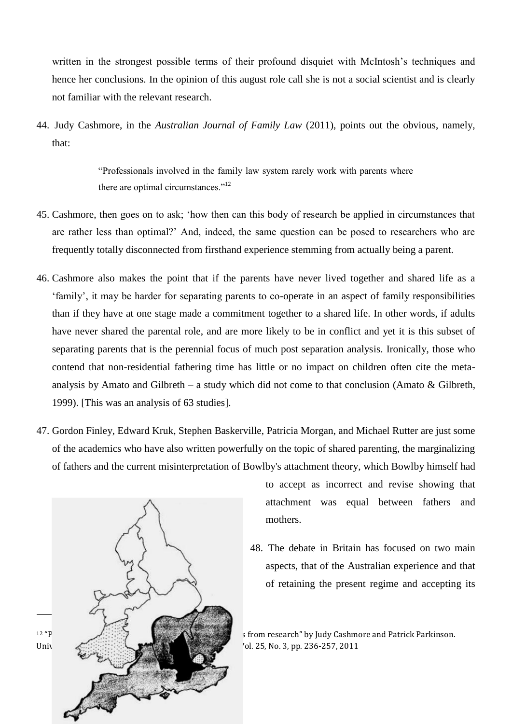written in the strongest possible terms of their profound disquiet with McIntosh's techniques and hence her conclusions. In the opinion of this august role call she is not a social scientist and is clearly not familiar with the relevant research.

44. Judy Cashmore, in the *Australian Journal of Family Law* (2011), points out the obvious, namely, that:

> "Professionals involved in the family law system rarely work with parents where there are optimal circumstances."<sup>12</sup>

- 45. Cashmore, then goes on to ask; "how then can this body of research be applied in circumstances that are rather less than optimal?" And, indeed, the same question can be posed to researchers who are frequently totally disconnected from firsthand experience stemming from actually being a parent.
- 46. Cashmore also makes the point that if the parents have never lived together and shared life as a "family", it may be harder for separating parents to co-operate in an aspect of family responsibilities than if they have at one stage made a commitment together to a shared life. In other words, if adults have never shared the parental role, and are more likely to be in conflict and yet it is this subset of separating parents that is the perennial focus of much post separation analysis. Ironically, those who contend that non-residential fathering time has little or no impact on children often cite the metaanalysis by Amato and Gilbreth – a study which did not come to that conclusion (Amato  $\&$  Gilbreth, 1999). [This was an analysis of 63 studies].
- 47. Gordon Finley, Edward Kruk, Stephen Baskerville, Patricia Morgan, and Michael Rutter are just some of the academics who have also written powerfully on the topic of shared parenting, the marginalizing of fathers and the current misinterpretation of Bowlby's attachment theory, which Bowlby himself had



to accept as incorrect and revise showing that attachment was equal between fathers and mothers.

48. The debate in Britain has focused on two main aspects, that of the Australian experience and that of retaining the present regime and accepting its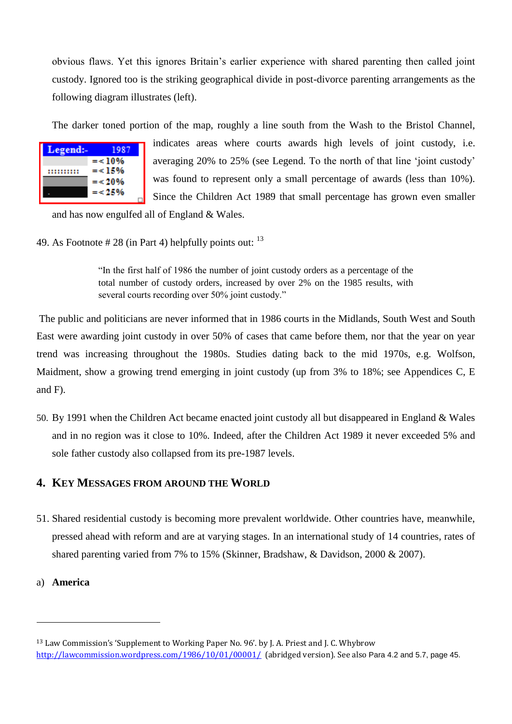obvious flaws. Yet this ignores Britain"s earlier experience with shared parenting then called joint custody. Ignored too is the striking geographical divide in post-divorce parenting arrangements as the following diagram illustrates (left).

The darker toned portion of the map, roughly a line south from the Wash to the Bristol Channel,

| Legend:- | 1987      |
|----------|-----------|
|          | $=$ < 10% |
|          | $=< 15\%$ |
|          | $=$ < 20% |
|          | $=$ < 25% |
|          |           |

indicates areas where courts awards high levels of joint custody, i.e. averaging 20% to 25% (see Legend. To the north of that line "joint custody" was found to represent only a small percentage of awards (less than 10%). Since the Children Act 1989 that small percentage has grown even smaller

and has now engulfed all of England & Wales.

49. As Footnote  $\# 28$  (in Part 4) helpfully points out:  $13$ 

"In the first half of 1986 the number of joint custody orders as a percentage of the total number of custody orders, increased by over 2% on the 1985 results, with several courts recording over 50% joint custody."

The public and politicians are never informed that in 1986 courts in the Midlands, South West and South East were awarding joint custody in over 50% of cases that came before them, nor that the year on year trend was increasing throughout the 1980s. Studies dating back to the mid 1970s, e.g. Wolfson, Maidment, show a growing trend emerging in joint custody (up from 3% to 18%; see Appendices C, E and F).

50. By 1991 when the Children Act became enacted joint custody all but disappeared in England & Wales and in no region was it close to 10%. Indeed, after the Children Act 1989 it never exceeded 5% and sole father custody also collapsed from its pre-1987 levels.

#### **4. KEY MESSAGES FROM AROUND THE WORLD**

- 51. Shared residential custody is becoming more prevalent worldwide. Other countries have, meanwhile, pressed ahead with reform and are at varying stages. In an international study of 14 countries, rates of shared parenting varied from 7% to 15% (Skinner, Bradshaw, & Davidson, 2000 & 2007).
- a) **America**

l

<sup>13</sup> Law Commission's 'Supplement to Working Paper No. 96'. by J. A. Priest and J. C. Whybrow <http://lawcommission.wordpress.com/1986/10/01/00001/>(abridged version). See also Para 4.2 and 5.7, page 45.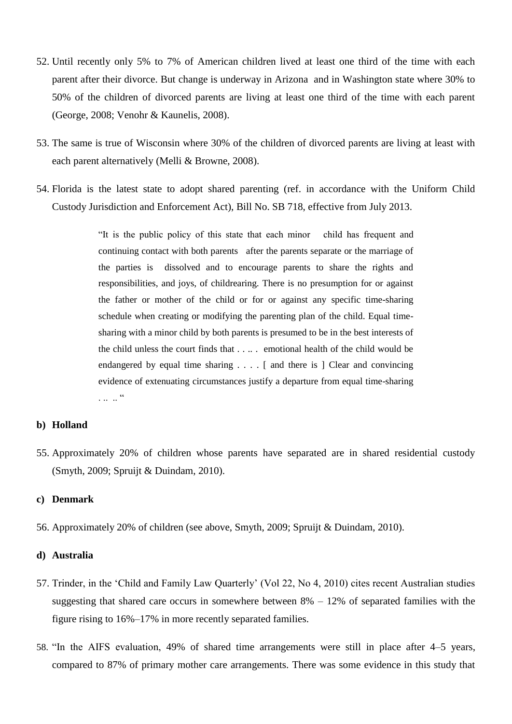- 52. Until recently only 5% to 7% of American children lived at least one third of the time with each parent after their divorce. But change is underway in Arizona and in Washington state where 30% to 50% of the children of divorced parents are living at least one third of the time with each parent (George, 2008; Venohr & Kaunelis, 2008).
- 53. The same is true of Wisconsin where 30% of the children of divorced parents are living at least with each parent alternatively (Melli & Browne, 2008).
- 54. Florida is the latest state to adopt shared parenting (ref. in accordance with the Uniform Child Custody Jurisdiction and Enforcement Act), Bill No. SB 718, effective from July 2013.

"It is the public policy of this state that each minor child has frequent and continuing contact with both parents after the parents separate or the marriage of the parties is dissolved and to encourage parents to share the rights and responsibilities, and joys, of childrearing. There is no presumption for or against the father or mother of the child or for or against any specific time-sharing schedule when creating or modifying the parenting plan of the child. Equal timesharing with a minor child by both parents is presumed to be in the best interests of the child unless the court finds that . . .. . emotional health of the child would be endangered by equal time sharing . . . . [ and there is ] Clear and convincing evidence of extenuating circumstances justify a departure from equal time-sharing . . . . . "

#### **b) Holland**

55. Approximately 20% of children whose parents have separated are in shared residential custody (Smyth, 2009; Spruijt & Duindam, 2010).

#### **c) Denmark**

56. Approximately 20% of children (see above, Smyth, 2009; Spruijt & Duindam, 2010).

#### **d) Australia**

- 57. Trinder, in the "Child and Family Law Quarterly" (Vol 22, No 4, 2010) cites recent Australian studies suggesting that shared care occurs in somewhere between  $8\% - 12\%$  of separated families with the figure rising to 16%–17% in more recently separated families.
- 58. "In the AIFS evaluation, 49% of shared time arrangements were still in place after 4–5 years, compared to 87% of primary mother care arrangements. There was some evidence in this study that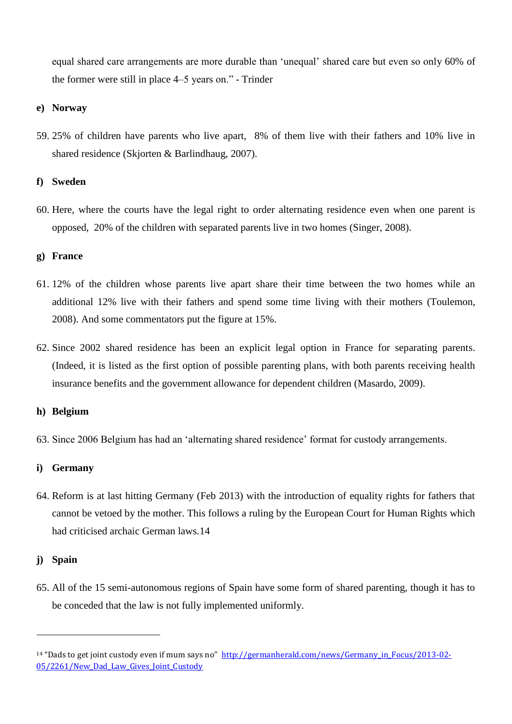equal shared care arrangements are more durable than "unequal" shared care but even so only 60% of the former were still in place 4–5 years on." - Trinder

#### **e) Norway**

59. 25% of children have parents who live apart, 8% of them live with their fathers and 10% live in shared residence (Skjorten & Barlindhaug, 2007).

#### **f) Sweden**

60. Here, where the courts have the legal right to order alternating residence even when one parent is opposed, 20% of the children with separated parents live in two homes (Singer, 2008).

#### **g) France**

- 61. 12% of the children whose parents live apart share their time between the two homes while an additional 12% live with their fathers and spend some time living with their mothers (Toulemon, 2008). And some commentators put the figure at 15%.
- 62. Since 2002 shared residence has been an explicit legal option in France for separating parents. (Indeed, it is listed as the first option of possible parenting plans, with both parents receiving health insurance benefits and the government allowance for dependent children (Masardo, 2009).

#### **h) Belgium**

63. Since 2006 Belgium has had an "alternating shared residence" format for custody arrangements.

#### **i) Germany**

64. Reform is at last hitting Germany (Feb 2013) with the introduction of equality rights for fathers that cannot be vetoed by the mother. This follows a ruling by the European Court for Human Rights which had criticised archaic German laws.14

#### **j) Spain**

l

65. All of the 15 semi-autonomous regions of Spain have some form of shared parenting, though it has to be conceded that the law is not fully implemented uniformly.

<sup>&</sup>lt;sup>14</sup> "Dads to get joint custody even if mum says no" [http://germanherald.com/news/Germany\\_in\\_Focus/2013-02-](http://germanherald.com/news/Germany_in_Focus/2013-02-05/2261/New_Dad_Law_Gives_Joint_Custody) [05/2261/New\\_Dad\\_Law\\_Gives\\_Joint\\_Custody](http://germanherald.com/news/Germany_in_Focus/2013-02-05/2261/New_Dad_Law_Gives_Joint_Custody)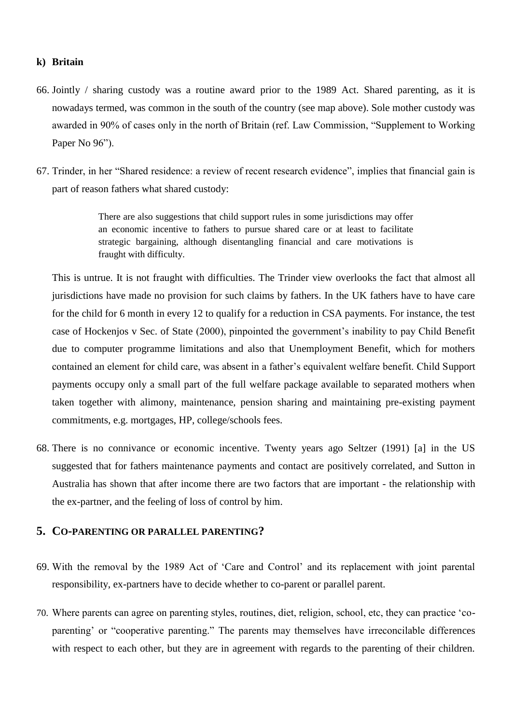#### **k) Britain**

- 66. Jointly / sharing custody was a routine award prior to the 1989 Act. Shared parenting, as it is nowadays termed, was common in the south of the country (see map above). Sole mother custody was awarded in 90% of cases only in the north of Britain (ref. Law Commission, "Supplement to Working Paper No 96").
- 67. Trinder, in her "Shared residence: a review of recent research evidence", implies that financial gain is part of reason fathers what shared custody:

There are also suggestions that child support rules in some jurisdictions may offer an economic incentive to fathers to pursue shared care or at least to facilitate strategic bargaining, although disentangling financial and care motivations is fraught with difficulty.

This is untrue. It is not fraught with difficulties. The Trinder view overlooks the fact that almost all jurisdictions have made no provision for such claims by fathers. In the UK fathers have to have care for the child for 6 month in every 12 to qualify for a reduction in CSA payments. For instance, the test case of Hockenjos v Sec. of State (2000), pinpointed the government's inability to pay Child Benefit due to computer programme limitations and also that Unemployment Benefit, which for mothers contained an element for child care, was absent in a father"s equivalent welfare benefit. Child Support payments occupy only a small part of the full welfare package available to separated mothers when taken together with alimony, maintenance, pension sharing and maintaining pre-existing payment commitments, e.g. mortgages, HP, college/schools fees.

68. There is no connivance or economic incentive. Twenty years ago Seltzer (1991) [a] in the US suggested that for fathers maintenance payments and contact are positively correlated, and Sutton in Australia has shown that after income there are two factors that are important - the relationship with the ex-partner, and the feeling of loss of control by him.

#### **5. CO-PARENTING OR PARALLEL PARENTING?**

- 69. With the removal by the 1989 Act of "Care and Control" and its replacement with joint parental responsibility, ex-partners have to decide whether to co-parent or parallel parent.
- 70. Where parents can agree on parenting styles, routines, diet, religion, school, etc, they can practice "coparenting' or "cooperative parenting." The parents may themselves have irreconcilable differences with respect to each other, but they are in agreement with regards to the parenting of their children.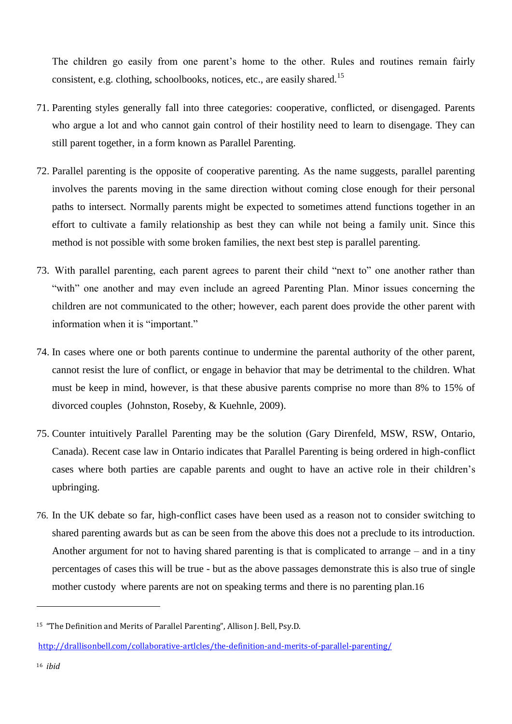The children go easily from one parent's home to the other. Rules and routines remain fairly consistent, e.g. clothing, schoolbooks, notices, etc., are easily shared.<sup>15</sup>

- 71. Parenting styles generally fall into three categories: cooperative, conflicted, or disengaged. Parents who argue a lot and who cannot gain control of their hostility need to learn to disengage. They can still parent together, in a form known as Parallel Parenting.
- 72. Parallel parenting is the opposite of cooperative parenting. As the name suggests, parallel parenting involves the parents moving in the same direction without coming close enough for their personal paths to intersect. Normally parents might be expected to sometimes attend functions together in an effort to cultivate a family relationship as best they can while not being a family unit. Since this method is not possible with some broken families, the next best step is parallel parenting.
- 73. With parallel parenting, each parent agrees to parent their child "next to" one another rather than "with" one another and may even include an agreed Parenting Plan. Minor issues concerning the children are not communicated to the other; however, each parent does provide the other parent with information when it is "important."
- 74. In cases where one or both parents continue to undermine the parental authority of the other parent, cannot resist the lure of conflict, or engage in behavior that may be detrimental to the children. What must be keep in mind, however, is that these abusive parents comprise no more than 8% to 15% of divorced couples (Johnston, Roseby, & Kuehnle, 2009).
- 75. Counter intuitively Parallel Parenting may be the solution (Gary Direnfeld, MSW, RSW, Ontario, Canada). Recent case law in Ontario indicates that Parallel Parenting is being ordered in high-conflict cases where both parties are capable parents and ought to have an active role in their children"s upbringing.
- 76. In the UK debate so far, high-conflict cases have been used as a reason not to consider switching to shared parenting awards but as can be seen from the above this does not a preclude to its introduction. Another argument for not to having shared parenting is that is complicated to arrange – and in a tiny percentages of cases this will be true - but as the above passages demonstrate this is also true of single mother custody where parents are not on speaking terms and there is no parenting plan.16

l

<sup>15</sup> "The Definition and Merits of Parallel Parenting", Allison J. Bell, Psy.D.

<http://drallisonbell.com/collaborative-artlcles/the-definition-and-merits-of-parallel-parenting/>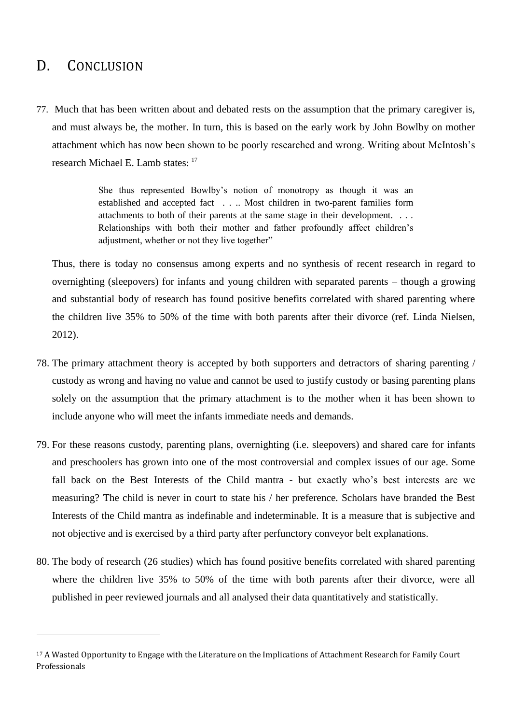### D. CONCLUSION

l

77. Much that has been written about and debated rests on the assumption that the primary caregiver is, and must always be, the mother. In turn, this is based on the early work by John Bowlby on mother attachment which has now been shown to be poorly researched and wrong. Writing about McIntosh"s research Michael E. Lamb states: <sup>17</sup>

> She thus represented Bowlby"s notion of monotropy as though it was an established and accepted fact . . .. Most children in two-parent families form attachments to both of their parents at the same stage in their development. . . . Relationships with both their mother and father profoundly affect children"s adjustment, whether or not they live together"

Thus, there is today no consensus among experts and no synthesis of recent research in regard to overnighting (sleepovers) for infants and young children with separated parents – though a growing and substantial body of research has found positive benefits correlated with shared parenting where the children live 35% to 50% of the time with both parents after their divorce (ref. Linda Nielsen, 2012).

- 78. The primary attachment theory is accepted by both supporters and detractors of sharing parenting / custody as wrong and having no value and cannot be used to justify custody or basing parenting plans solely on the assumption that the primary attachment is to the mother when it has been shown to include anyone who will meet the infants immediate needs and demands.
- 79. For these reasons custody, parenting plans, overnighting (i.e. sleepovers) and shared care for infants and preschoolers has grown into one of the most controversial and complex issues of our age. Some fall back on the Best Interests of the Child mantra - but exactly who"s best interests are we measuring? The child is never in court to state his / her preference. Scholars have branded the Best Interests of the Child mantra as indefinable and indeterminable. It is a measure that is subjective and not objective and is exercised by a third party after perfunctory conveyor belt explanations.
- 80. The body of research (26 studies) which has found positive benefits correlated with shared parenting where the children live 35% to 50% of the time with both parents after their divorce, were all published in peer reviewed journals and all analysed their data quantitatively and statistically.

<sup>17</sup> A Wasted Opportunity to Engage with the Literature on the Implications of Attachment Research for Family Court Professionals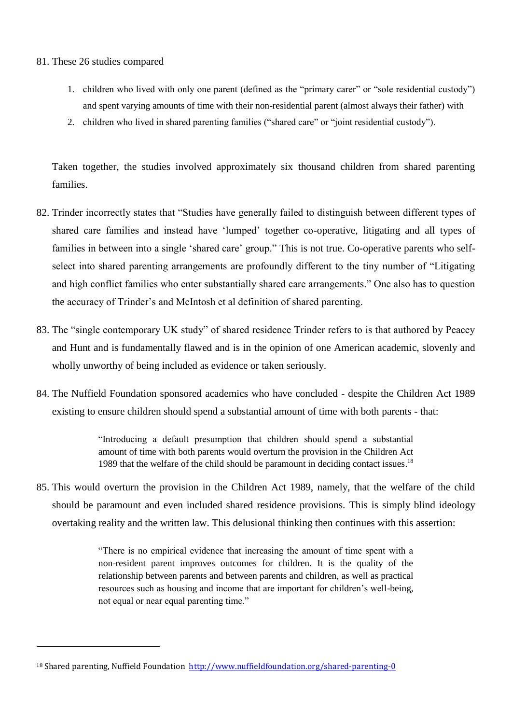#### 81. These 26 studies compared

l

- 1. children who lived with only one parent (defined as the "primary carer" or "sole residential custody") and spent varying amounts of time with their non-residential parent (almost always their father) with
- 2. children who lived in shared parenting families ("shared care" or "joint residential custody").

Taken together, the studies involved approximately six thousand children from shared parenting families.

- 82. Trinder incorrectly states that "Studies have generally failed to distinguish between different types of shared care families and instead have "lumped" together co-operative, litigating and all types of families in between into a single 'shared care' group." This is not true. Co-operative parents who selfselect into shared parenting arrangements are profoundly different to the tiny number of "Litigating and high conflict families who enter substantially shared care arrangements." One also has to question the accuracy of Trinder"s and McIntosh et al definition of shared parenting.
- 83. The "single contemporary UK study" of shared residence Trinder refers to is that authored by Peacey and Hunt and is fundamentally flawed and is in the opinion of one American academic, slovenly and wholly unworthy of being included as evidence or taken seriously.
- 84. The Nuffield Foundation sponsored academics who have concluded despite the Children Act 1989 existing to ensure children should spend a substantial amount of time with both parents - that:

"Introducing a default presumption that children should spend a substantial amount of time with both parents would overturn the provision in the Children Act 1989 that the welfare of the child should be paramount in deciding contact issues.<sup>18</sup>

85. This would overturn the provision in the Children Act 1989, namely, that the welfare of the child should be paramount and even included shared residence provisions. This is simply blind ideology overtaking reality and the written law. This delusional thinking then continues with this assertion:

> "There is no empirical evidence that increasing the amount of time spent with a non-resident parent improves outcomes for children. It is the quality of the relationship between parents and between parents and children, as well as practical resources such as housing and income that are important for children's well-being, not equal or near equal parenting time."

<sup>&</sup>lt;sup>18</sup> Shared parenting, Nuffield Foundation <http://www.nuffieldfoundation.org/shared-parenting-0>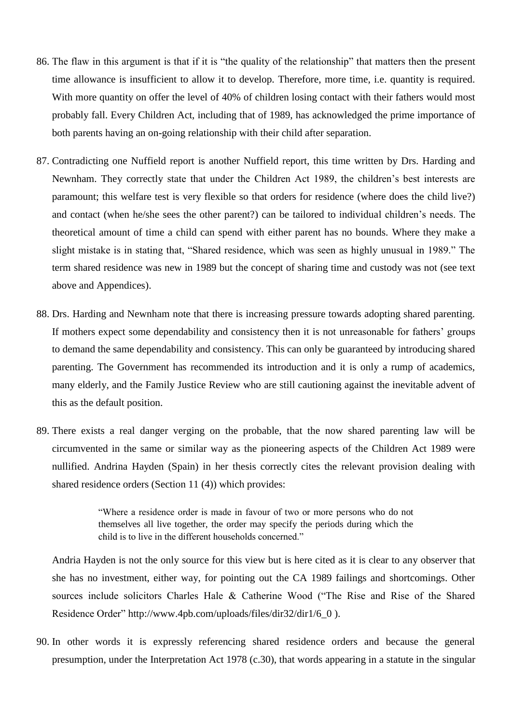- 86. The flaw in this argument is that if it is "the quality of the relationship" that matters then the present time allowance is insufficient to allow it to develop. Therefore, more time, i.e. quantity is required. With more quantity on offer the level of 40% of children losing contact with their fathers would most probably fall. Every Children Act, including that of 1989, has acknowledged the prime importance of both parents having an on-going relationship with their child after separation.
- 87. Contradicting one Nuffield report is another Nuffield report, this time written by Drs. Harding and Newnham. They correctly state that under the Children Act 1989, the children"s best interests are paramount; this welfare test is very flexible so that orders for residence (where does the child live?) and contact (when he/she sees the other parent?) can be tailored to individual children"s needs. The theoretical amount of time a child can spend with either parent has no bounds. Where they make a slight mistake is in stating that, "Shared residence, which was seen as highly unusual in 1989." The term shared residence was new in 1989 but the concept of sharing time and custody was not (see text above and Appendices).
- 88. Drs. Harding and Newnham note that there is increasing pressure towards adopting shared parenting. If mothers expect some dependability and consistency then it is not unreasonable for fathers' groups to demand the same dependability and consistency. This can only be guaranteed by introducing shared parenting. The Government has recommended its introduction and it is only a rump of academics, many elderly, and the Family Justice Review who are still cautioning against the inevitable advent of this as the default position.
- 89. There exists a real danger verging on the probable, that the now shared parenting law will be circumvented in the same or similar way as the pioneering aspects of the Children Act 1989 were nullified. Andrina Hayden (Spain) in her thesis correctly cites the relevant provision dealing with shared residence orders (Section 11 (4)) which provides:

"Where a residence order is made in favour of two or more persons who do not themselves all live together, the order may specify the periods during which the child is to live in the different households concerned."

Andria Hayden is not the only source for this view but is here cited as it is clear to any observer that she has no investment, either way, for pointing out the CA 1989 failings and shortcomings. Other sources include solicitors Charles Hale & Catherine Wood ("The Rise and Rise of the Shared Residence Order" [http://www.4pb.com/uploads/files/dir32/dir1/6\\_0](http://www.4pb.com/uploads/files/dir32/dir1/6_0) ).

90. In other words it is expressly referencing shared residence orders and because the general presumption, under the Interpretation Act 1978 (c.30), that words appearing in a statute in the singular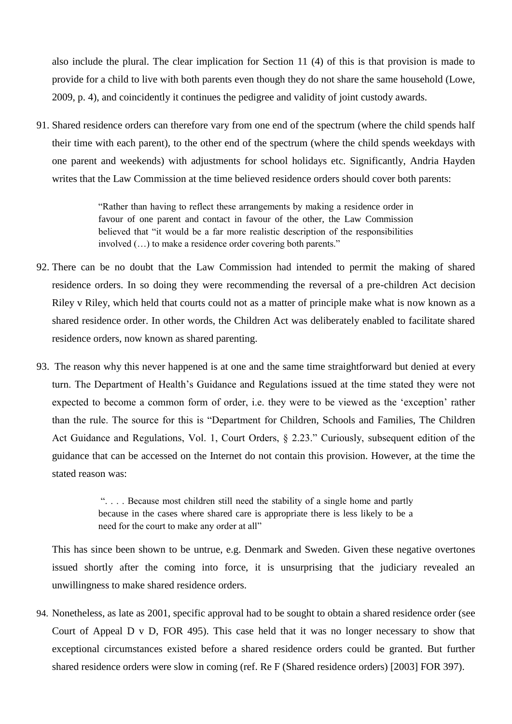also include the plural. The clear implication for Section 11 (4) of this is that provision is made to provide for a child to live with both parents even though they do not share the same household (Lowe, 2009, p. 4), and coincidently it continues the pedigree and validity of joint custody awards.

91. Shared residence orders can therefore vary from one end of the spectrum (where the child spends half their time with each parent), to the other end of the spectrum (where the child spends weekdays with one parent and weekends) with adjustments for school holidays etc. Significantly, Andria Hayden writes that the Law Commission at the time believed residence orders should cover both parents:

> "Rather than having to reflect these arrangements by making a residence order in favour of one parent and contact in favour of the other, the Law Commission believed that "it would be a far more realistic description of the responsibilities involved (…) to make a residence order covering both parents."

- 92. There can be no doubt that the Law Commission had intended to permit the making of shared residence orders. In so doing they were recommending the reversal of a pre-children Act decision Riley v Riley, which held that courts could not as a matter of principle make what is now known as a shared residence order. In other words, the Children Act was deliberately enabled to facilitate shared residence orders, now known as shared parenting.
- 93. The reason why this never happened is at one and the same time straightforward but denied at every turn. The Department of Health"s Guidance and Regulations issued at the time stated they were not expected to become a common form of order, i.e. they were to be viewed as the "exception" rather than the rule. The source for this is "Department for Children, Schools and Families, The Children Act Guidance and Regulations, Vol. 1, Court Orders, § 2.23." Curiously, subsequent edition of the guidance that can be accessed on the Internet do not contain this provision. However, at the time the stated reason was:

". . . . Because most children still need the stability of a single home and partly because in the cases where shared care is appropriate there is less likely to be a need for the court to make any order at all"

This has since been shown to be untrue, e.g. Denmark and Sweden. Given these negative overtones issued shortly after the coming into force, it is unsurprising that the judiciary revealed an unwillingness to make shared residence orders.

94. Nonetheless, as late as 2001, specific approval had to be sought to obtain a shared residence order (see Court of Appeal D v D, FOR 495). This case held that it was no longer necessary to show that exceptional circumstances existed before a shared residence orders could be granted. But further shared residence orders were slow in coming (ref. Re F (Shared residence orders) [2003] FOR 397).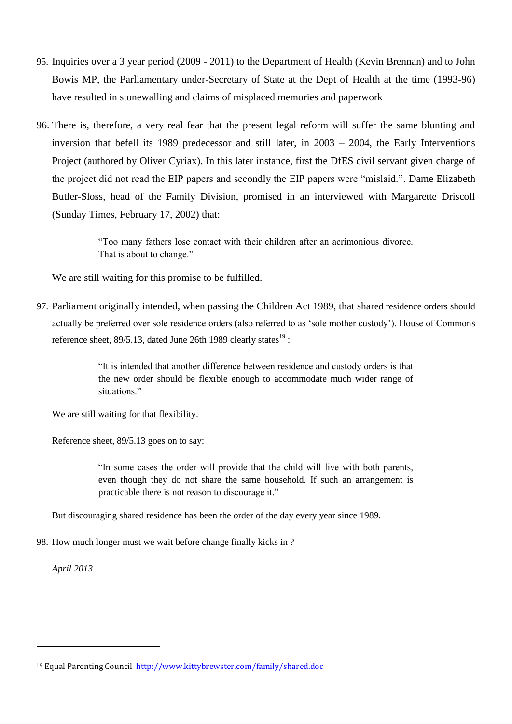- 95. Inquiries over a 3 year period (2009 2011) to the Department of Health (Kevin Brennan) and to John Bowis MP, the Parliamentary under-Secretary of State at the Dept of Health at the time (1993-96) have resulted in stonewalling and claims of misplaced memories and paperwork
- 96. There is, therefore, a very real fear that the present legal reform will suffer the same blunting and inversion that befell its 1989 predecessor and still later, in 2003 – 2004, the Early Interventions Project (authored by Oliver Cyriax). In this later instance, first the DfES civil servant given charge of the project did not read the EIP papers and secondly the EIP papers were "mislaid.". Dame Elizabeth Butler-Sloss, head of the Family Division, promised in an interviewed with Margarette Driscoll (Sunday Times, February 17, 2002) that:

"Too many fathers lose contact with their children after an acrimonious divorce. That is about to change."

We are still waiting for this promise to be fulfilled.

97. Parliament originally intended, when passing the Children Act 1989, that shared residence orders should actually be preferred over sole residence orders (also referred to as "sole mother custody"). House of Commons reference sheet,  $89/5.13$ , dated June 26th 1989 clearly states<sup>19</sup>:

> "It is intended that another difference between residence and custody orders is that the new order should be flexible enough to accommodate much wider range of situations."

We are still waiting for that flexibility.

Reference sheet, 89/5.13 goes on to say:

"In some cases the order will provide that the child will live with both parents, even though they do not share the same household. If such an arrangement is practicable there is not reason to discourage it."

But discouraging shared residence has been the order of the day every year since 1989.

98. How much longer must we wait before change finally kicks in ?

*April 2013*

l

<sup>19</sup> Equal Parenting Council <http://www.kittybrewster.com/family/shared.doc>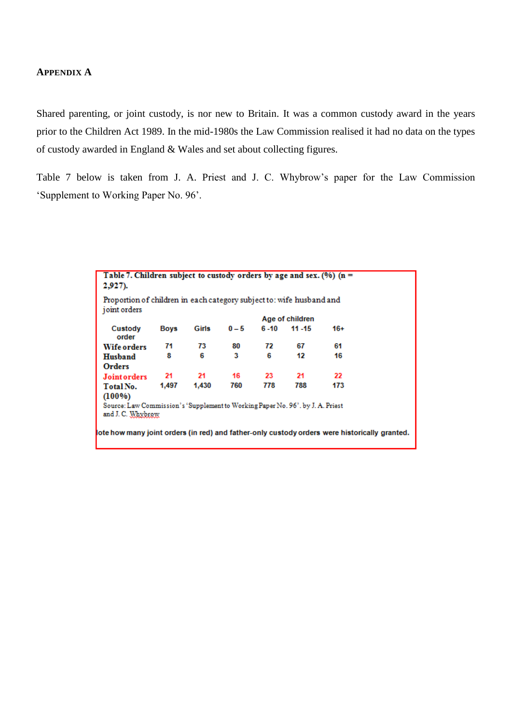#### **APPENDIX A**

Shared parenting, or joint custody, is nor new to Britain. It was a common custody award in the years prior to the Children Act 1989. In the mid-1980s the Law Commission realised it had no data on the types of custody awarded in England & Wales and set about collecting figures.

Table 7 below is taken from J. A. Priest and J. C. Whybrow"s paper for the Law Commission "Supplement to Working Paper No. 96".

| Table 7. Children subject to custody orders by age and sex. (%) ( $n =$<br>$2,927$ ).               |             |       |       |      |                 |       |  |
|-----------------------------------------------------------------------------------------------------|-------------|-------|-------|------|-----------------|-------|--|
| Proportion of children in each category subject to: wife husband and<br>joint orders                |             |       |       |      |                 |       |  |
|                                                                                                     |             |       |       |      | Age of children |       |  |
| Custody<br>order                                                                                    | <b>Boys</b> | Girls | $0-5$ | 6-10 | $11 - 15$       | $16+$ |  |
| <b>Wife orders</b>                                                                                  | 71          | 73    | 80    | 72   | 67              | 61    |  |
| Husband                                                                                             | 8           | 6     | 3     | 6    | 12              | 16    |  |
| Orders                                                                                              |             |       |       |      |                 |       |  |
| <b>Joint orders</b>                                                                                 | 21          | 21    | 16    | 23   | 21              | 22    |  |
| Total No.                                                                                           | 1.497       | 1,430 | 760   | 778  | 788             | 173   |  |
| $(100\%)$                                                                                           |             |       |       |      |                 |       |  |
| Source: Law Commission's 'Supplement to Working Paper No. 96', by J. A. Priest<br>and J. C. Whybrow |             |       |       |      |                 |       |  |
| ote how many joint orders (in red) and father-only custody orders were historically granted.        |             |       |       |      |                 |       |  |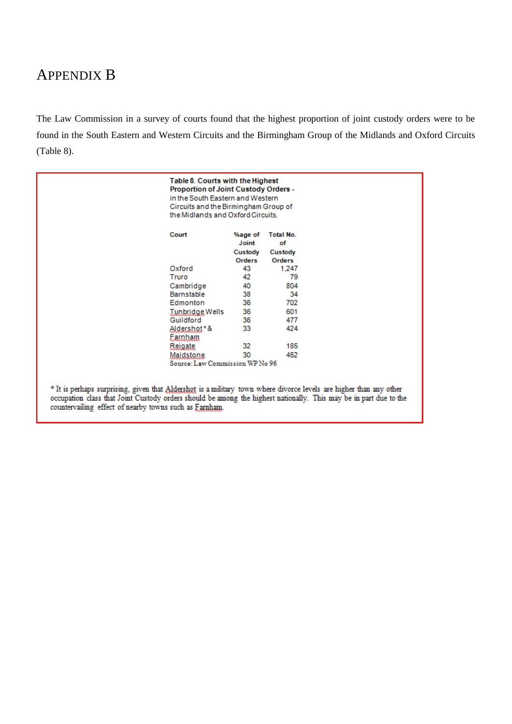# APPENDIX B

The Law Commission in a survey of courts found that the highest proportion of joint custody orders were to be found in the South Eastern and Western Circuits and the Birmingham Group of the Midlands and Oxford Circuits (Table 8).

|                                                                                                                                                                                                                                                | Table 8. Courts with the Highest<br><b>Proportion of Joint Custody Orders -</b><br>in the South Eastern and Western<br>Circuits and the Birmingham Group of<br>the Midlands and Oxford Circuits. |                                              |                                                    |  |
|------------------------------------------------------------------------------------------------------------------------------------------------------------------------------------------------------------------------------------------------|--------------------------------------------------------------------------------------------------------------------------------------------------------------------------------------------------|----------------------------------------------|----------------------------------------------------|--|
|                                                                                                                                                                                                                                                | Court                                                                                                                                                                                            | %age of<br>Joint<br>Custody<br><b>Orders</b> | <b>Total No.</b><br>οf<br>Custody<br><b>Orders</b> |  |
|                                                                                                                                                                                                                                                | Oxford                                                                                                                                                                                           | 43                                           | 1,247                                              |  |
|                                                                                                                                                                                                                                                | Truro                                                                                                                                                                                            | 42                                           | 79                                                 |  |
|                                                                                                                                                                                                                                                | Cambridge                                                                                                                                                                                        | 40                                           | 804                                                |  |
|                                                                                                                                                                                                                                                | Barnstable                                                                                                                                                                                       | 38                                           | 34                                                 |  |
|                                                                                                                                                                                                                                                | Edmonton                                                                                                                                                                                         | 36                                           | 702                                                |  |
|                                                                                                                                                                                                                                                | Tunbridge Wells                                                                                                                                                                                  | 36                                           | 601                                                |  |
|                                                                                                                                                                                                                                                | Guildford                                                                                                                                                                                        | 36                                           | 477                                                |  |
|                                                                                                                                                                                                                                                | Aldershot*&<br>Eamham                                                                                                                                                                            | 33                                           | 424                                                |  |
|                                                                                                                                                                                                                                                | Reigate.                                                                                                                                                                                         | 32                                           | 185                                                |  |
|                                                                                                                                                                                                                                                | Maidstone                                                                                                                                                                                        | 30                                           | 452                                                |  |
|                                                                                                                                                                                                                                                | Source: Law Commission WP No 96                                                                                                                                                                  |                                              |                                                    |  |
| * It is perhaps surprising, given that <u>Aldershot</u> is a military town where divorce levels are higher than any other<br>occupation class that Joint Custody orders should be among the highest nationally. This may be in part due to the |                                                                                                                                                                                                  |                                              |                                                    |  |
| countervailing effect of nearby towns such as Farnham.                                                                                                                                                                                         |                                                                                                                                                                                                  |                                              |                                                    |  |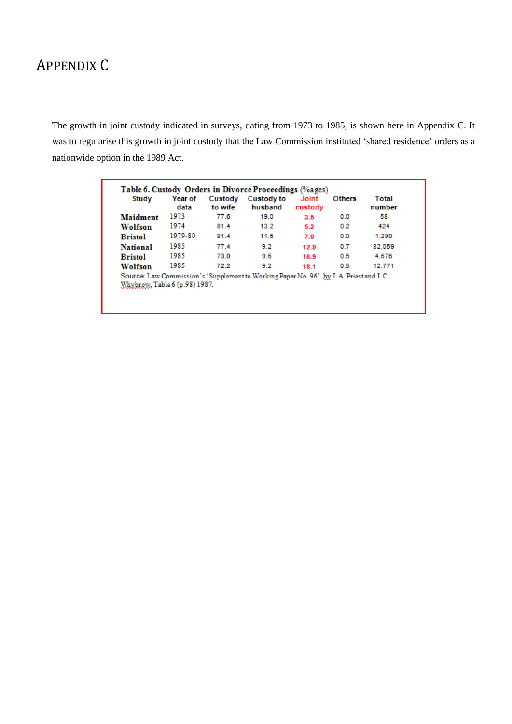# APPENDIX C

The growth in joint custody indicated in surveys, dating from 1973 to 1985, is shown here in Appendix C. It was to regularise this growth in joint custody that the Law Commission instituted "shared residence" orders as a nationwide option in the 1989 Act.

| <b>Study</b>    | Year of<br>data | Custody<br>to wife | <b>Custody to</b><br>husband | <b>Joint</b><br>custody | <b>Others</b> | Total<br>number |
|-----------------|-----------------|--------------------|------------------------------|-------------------------|---------------|-----------------|
| Maidment        | 1973            | 77.6               | 19.0                         | 3.5                     | 0.0           | 58              |
| Wolfson         | 1974            | 81.4               | 13.2                         | 5.2                     | 0.2           | 424             |
| <b>Bristol</b>  | 1979-80         | 81.4               | 11.6                         | 7.0                     | 0.0           | 1.290           |
| <b>National</b> | 1985            | 77.4               | 9.2                          | 12.9                    | 0.7           | 82.059          |
| <b>Bristol</b>  | 1985            | 73.0               | 9.6                          | 16.9                    | 0.5           | 4.676           |
| Wolfson         | 1985            | 72.2               | 9.2                          | 18.1                    | 0.5           | 12.771          |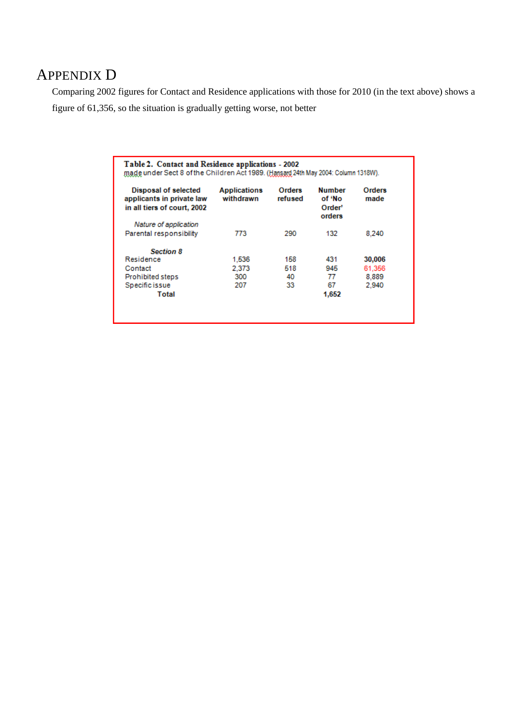# APPENDIX D

Comparing 2002 figures for Contact and Residence applications with those for 2010 (in the text above) shows a figure of 61,356, so the situation is gradually getting worse, not better

| Disposal of selected<br>applicants in private law | <b>Applications</b><br>withdrawn | Orders<br>refused | <b>Number</b><br>of 'No | Orders<br>made |
|---------------------------------------------------|----------------------------------|-------------------|-------------------------|----------------|
| in all tiers of court, 2002                       |                                  |                   | Order'<br>orders        |                |
| Nature of application                             |                                  |                   |                         |                |
| Parental responsibility                           | 773                              | 290               | 132                     | 8.240          |
| <b>Section 8</b>                                  |                                  |                   |                         |                |
| Residence                                         | 1.536                            | 158               | 431                     | 30,006         |
| Contact                                           | 2.373                            | 518               | 945                     | 61,356         |
| <b>Prohibited steps</b>                           | 300                              | 40                | 77                      | 8,889          |
| Specific issue                                    | 207                              | 33                | 67                      | 2.940          |
| Total                                             |                                  |                   | 1.652                   |                |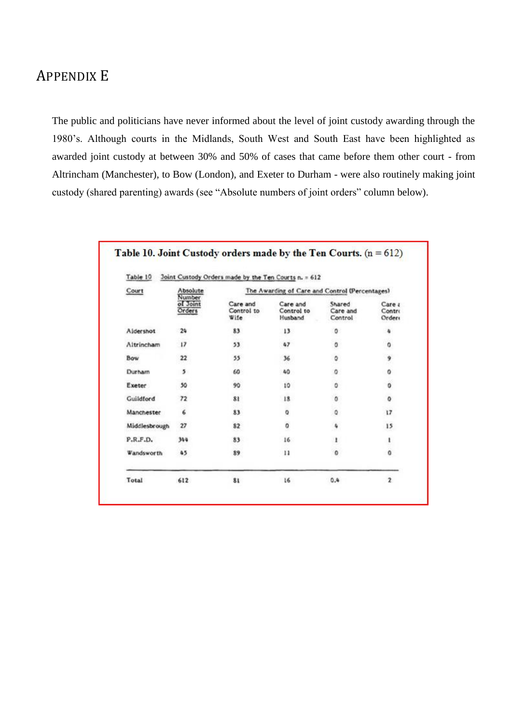# APPENDIX E

The public and politicians have never informed about the level of joint custody awarding through the 1980"s. Although courts in the Midlands, South West and South East have been highlighted as awarded joint custody at between 30% and 50% of cases that came before them other court - from Altrincham (Manchester), to Bow (London), and Exeter to Durham - were also routinely making joint custody (shared parenting) awards (see "Absolute numbers of joint orders" column below).

| Table 10<br>Court | Absolute                     | Joint Custody Orders made by the Ten Courts n. = 612<br>The Awarding of Care and Control (Percentages) |                                   |                               |                            |  |
|-------------------|------------------------------|--------------------------------------------------------------------------------------------------------|-----------------------------------|-------------------------------|----------------------------|--|
|                   | Number<br>of Joint<br>Orders | Care and<br>Control to<br>Wife                                                                         | Care and<br>Control to<br>Husband | Shared<br>Care and<br>Control | Care a<br>Contri<br>Orders |  |
| Aldershot         | 24                           | 83                                                                                                     | 13                                | 0                             | ٠                          |  |
| Altrincham        | 17                           | 53                                                                                                     | 47                                | ٥                             | ٥                          |  |
| Bow               | 22                           | 55                                                                                                     | 36                                | ٥                             | 9                          |  |
| Durham            | 5                            | 60                                                                                                     | 40                                | ٥                             | 0                          |  |
| Exeter            | 50                           | 90                                                                                                     | 10                                | ٥                             | 0                          |  |
| Guildford         | 72                           | 81                                                                                                     | 18                                | ٥                             | ٥                          |  |
| Manchester        | 6                            | 83                                                                                                     | ۰                                 | ٥                             | 17                         |  |
| Middlesbrough     | 27                           | 82                                                                                                     | ٥                                 | ٠                             | 15                         |  |
| P.R.F.D.          | 344                          | 83                                                                                                     | 16                                | 1                             | ı                          |  |
| Wandsworth        | 45                           | 89                                                                                                     | 11                                | $\circ$                       | ٥                          |  |
| Total             | 612                          | 81                                                                                                     | 16                                | 0.4                           | $\overline{2}$             |  |